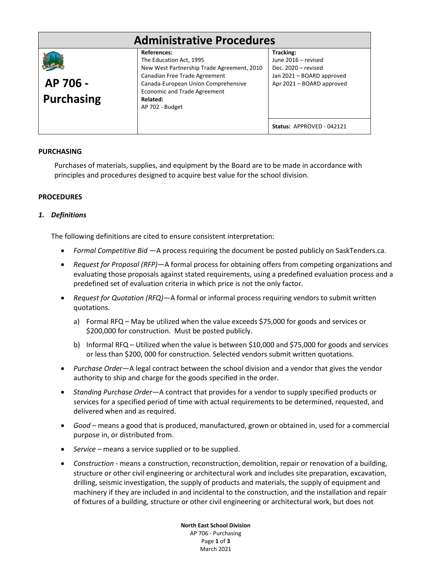| <b>Administrative Procedures</b> |                                                                                                                                                                                                                                           |                                                                                                                   |  |
|----------------------------------|-------------------------------------------------------------------------------------------------------------------------------------------------------------------------------------------------------------------------------------------|-------------------------------------------------------------------------------------------------------------------|--|
| AP 706 -<br><b>Purchasing</b>    | <b>References:</b><br>The Education Act, 1995<br>New West Partnership Trade Agreement, 2010<br>Canadian Free Trade Agreement<br>Canada-European Union Comprehensive<br><b>Economic and Trade Agreement</b><br>Related:<br>AP 702 - Budget | Tracking:<br>June 2016 – revised<br>Dec. 2020 - revised<br>Jan 2021 - BOARD approved<br>Apr 2021 - BOARD approved |  |
|                                  |                                                                                                                                                                                                                                           | Status: APPROVED - 042121                                                                                         |  |

# **PURCHASING**

Purchases of materials, supplies, and equipment by the Board are to be made in accordance with principles and procedures designed to acquire best value for the school division.

# **PROCEDURES**

# *1. Definitions*

The following definitions are cited to ensure consistent interpretation:

- *Formal Competitive Bid* —A process requiring the document be posted publicly on SaskTenders.ca.
- *Request for Proposal (RFP)*—A formal process for obtaining offers from competing organizations and evaluating those proposals against stated requirements, using a predefined evaluation process and a predefined set of evaluation criteria in which price is not the only factor.
- *Request for Quotation (RFQ)*—A formal or informal process requiring vendors to submit written quotations.
	- a) Formal RFQ May be utilized when the value exceeds \$75,000 for goods and services or \$200,000 for construction. Must be posted publicly.
	- b) Informal RFQ Utilized when the value is between \$10,000 and \$75,000 for goods and services or less than \$200, 000 for construction. Selected vendors submit written quotations.
- *Purchase Order*—A legal contract between the school division and a vendor that gives the vendor authority to ship and charge for the goods specified in the order.
- *Standing Purchase Order*—A contract that provides for a vendor to supply specified products or services for a specified period of time with actual requirements to be determined, requested, and delivered when and as required.
- *Good –* means a good that is produced, manufactured, grown or obtained in, used for a commercial purpose in, or distributed from.
- *Service –* means a service supplied or to be supplied.
- *Construction -* means a construction, reconstruction, demolition, repair or renovation of a building, structure or other civil engineering or architectural work and includes site preparation, excavation, drilling, seismic investigation, the supply of products and materials, the supply of equipment and machinery if they are included in and incidental to the construction, and the installation and repair of fixtures of a building, structure or other civil engineering or architectural work, but does not

**North East School Division** AP 706 - Purchasing Page **1** of **3** March 2021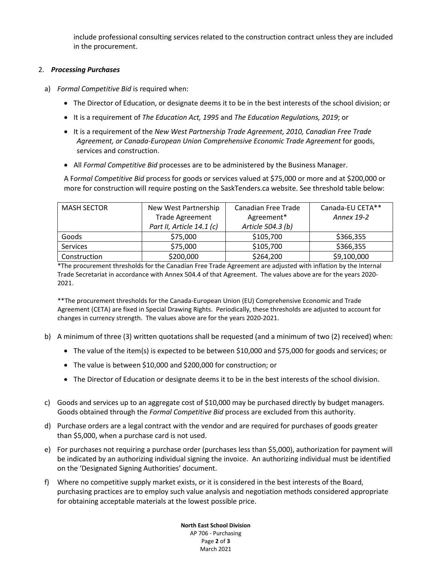include professional consulting services related to the construction contract unless they are included in the procurement.

# 2. *Processing Purchases*

- a) *Formal Competitive Bid* is required when:
	- The Director of Education, or designate deems it to be in the best interests of the school division; or
	- It is a requirement of *The Education Act, 1995* and *The Education Regulations, 2019*; or
	- It is a requirement of the *New West Partnership Trade Agreement, 2010, Canadian Free Trade Agreement, or Canada-European Union Comprehensive Economic Trade Agreement* for goods, services and construction.
	- All *Formal Competitive Bid* processes are to be administered by the Business Manager.

A F*ormal Competitive Bid* process for goods or services valued at \$75,000 or more and at \$200,000 or more for construction will require posting on the SaskTenders.ca website. See threshold table below:

| <b>MASH SECTOR</b> | New West Partnership      | Canadian Free Trade | Canada-EU CETA** |
|--------------------|---------------------------|---------------------|------------------|
|                    | <b>Trade Agreement</b>    | Agreement*          | Annex 19-2       |
|                    | Part II, Article 14.1 (c) | Article 504.3 (b)   |                  |
| Goods              | \$75,000                  | \$105,700           | \$366,355        |
| <b>Services</b>    | \$75,000                  | \$105,700           | \$366,355        |
| Construction       | \$200,000                 | \$264,200           | \$9,100,000      |

\*The procurement thresholds for the Canadian Free Trade Agreement are adjusted with inflation by the Internal Trade Secretariat in accordance with Annex 504.4 of that Agreement. The values above are for the years 2020- 2021.

\*\*The procurement thresholds for the Canada-European Union (EU) Comprehensive Economic and Trade Agreement (CETA) are fixed in Special Drawing Rights. Periodically, these thresholds are adjusted to account for changes in currency strength. The values above are for the years 2020-2021.

- b) A minimum of three (3) written quotations shall be requested (and a minimum of two (2) received) when:
	- The value of the item(s) is expected to be between \$10,000 and \$75,000 for goods and services; or
	- The value is between \$10,000 and \$200,000 for construction; or
	- The Director of Education or designate deems it to be in the best interests of the school division.
- c) Goods and services up to an aggregate cost of \$10,000 may be purchased directly by budget managers. Goods obtained through the *Formal Competitive Bid* process are excluded from this authority.
- d) Purchase orders are a legal contract with the vendor and are required for purchases of goods greater than \$5,000, when a purchase card is not used.
- e) For purchases not requiring a purchase order (purchases less than \$5,000), authorization for payment will be indicated by an authorizing individual signing the invoice. An authorizing individual must be identified on the 'Designated Signing Authorities' document.
- f) Where no competitive supply market exists, or it is considered in the best interests of the Board, purchasing practices are to employ such value analysis and negotiation methods considered appropriate for obtaining acceptable materials at the lowest possible price.

**North East School Division** AP 706 - Purchasing Page **2** of **3** March 2021